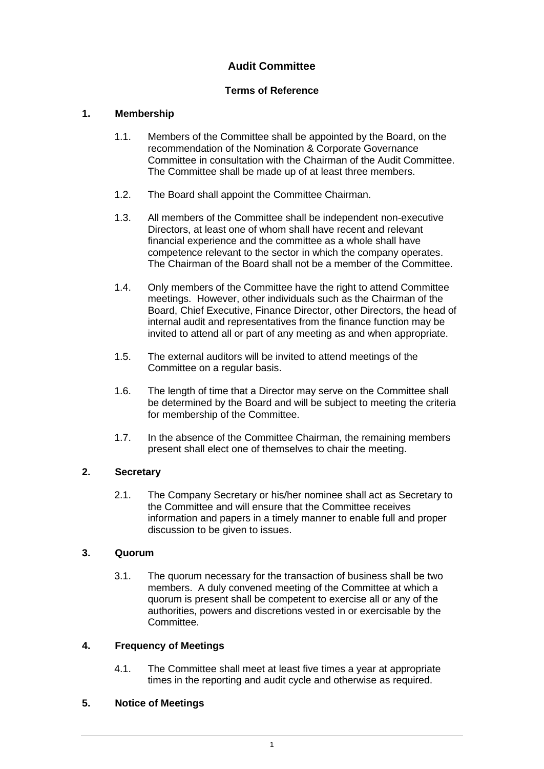# **Audit Committee**

# **Terms of Reference**

## **1. Membership**

- 1.1. Members of the Committee shall be appointed by the Board, on the recommendation of the Nomination & Corporate Governance Committee in consultation with the Chairman of the Audit Committee. The Committee shall be made up of at least three members.
- 1.2. The Board shall appoint the Committee Chairman.
- 1.3. All members of the Committee shall be independent non-executive Directors, at least one of whom shall have recent and relevant financial experience and the committee as a whole shall have competence relevant to the sector in which the company operates. The Chairman of the Board shall not be a member of the Committee.
- 1.4. Only members of the Committee have the right to attend Committee meetings. However, other individuals such as the Chairman of the Board, Chief Executive, Finance Director, other Directors, the head of internal audit and representatives from the finance function may be invited to attend all or part of any meeting as and when appropriate.
- 1.5. The external auditors will be invited to attend meetings of the Committee on a regular basis.
- 1.6. The length of time that a Director may serve on the Committee shall be determined by the Board and will be subject to meeting the criteria for membership of the Committee.
- 1.7. In the absence of the Committee Chairman, the remaining members present shall elect one of themselves to chair the meeting.

### **2. Secretary**

2.1. The Company Secretary or his/her nominee shall act as Secretary to the Committee and will ensure that the Committee receives information and papers in a timely manner to enable full and proper discussion to be given to issues.

### **3. Quorum**

3.1. The quorum necessary for the transaction of business shall be two members. A duly convened meeting of the Committee at which a quorum is present shall be competent to exercise all or any of the authorities, powers and discretions vested in or exercisable by the Committee.

### **4. Frequency of Meetings**

4.1. The Committee shall meet at least five times a year at appropriate times in the reporting and audit cycle and otherwise as required.

### **5. Notice of Meetings**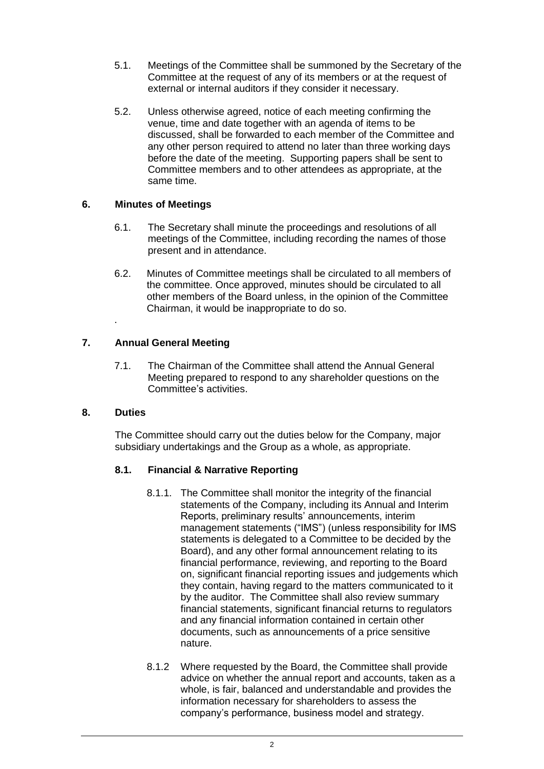- 5.1. Meetings of the Committee shall be summoned by the Secretary of the Committee at the request of any of its members or at the request of external or internal auditors if they consider it necessary.
- 5.2. Unless otherwise agreed, notice of each meeting confirming the venue, time and date together with an agenda of items to be discussed, shall be forwarded to each member of the Committee and any other person required to attend no later than three working days before the date of the meeting. Supporting papers shall be sent to Committee members and to other attendees as appropriate, at the same time.

### **6. Minutes of Meetings**

- 6.1. The Secretary shall minute the proceedings and resolutions of all meetings of the Committee, including recording the names of those present and in attendance.
- 6.2. Minutes of Committee meetings shall be circulated to all members of the committee. Once approved, minutes should be circulated to all other members of the Board unless, in the opinion of the Committee Chairman, it would be inappropriate to do so.

### **7. Annual General Meeting**

7.1. The Chairman of the Committee shall attend the Annual General Meeting prepared to respond to any shareholder questions on the Committee's activities.

#### **8. Duties**

.

The Committee should carry out the duties below for the Company, major subsidiary undertakings and the Group as a whole, as appropriate.

### **8.1. Financial & Narrative Reporting**

- 8.1.1. The Committee shall monitor the integrity of the financial statements of the Company, including its Annual and Interim Reports, preliminary results' announcements, interim management statements ("IMS") (unless responsibility for IMS statements is delegated to a Committee to be decided by the Board), and any other formal announcement relating to its financial performance, reviewing, and reporting to the Board on, significant financial reporting issues and judgements which they contain, having regard to the matters communicated to it by the auditor. The Committee shall also review summary financial statements, significant financial returns to regulators and any financial information contained in certain other documents, such as announcements of a price sensitive nature.
- 8.1.2 Where requested by the Board, the Committee shall provide advice on whether the annual report and accounts, taken as a whole, is fair, balanced and understandable and provides the information necessary for shareholders to assess the company's performance, business model and strategy.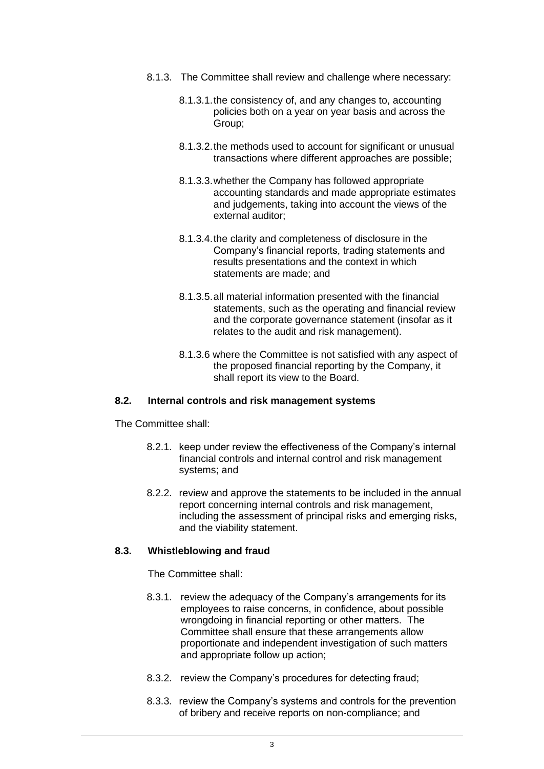- 8.1.3. The Committee shall review and challenge where necessary:
	- 8.1.3.1.the consistency of, and any changes to, accounting policies both on a year on year basis and across the Group;
	- 8.1.3.2.the methods used to account for significant or unusual transactions where different approaches are possible;
	- 8.1.3.3.whether the Company has followed appropriate accounting standards and made appropriate estimates and judgements, taking into account the views of the external auditor;
	- 8.1.3.4.the clarity and completeness of disclosure in the Company's financial reports, trading statements and results presentations and the context in which statements are made; and
	- 8.1.3.5.all material information presented with the financial statements, such as the operating and financial review and the corporate governance statement (insofar as it relates to the audit and risk management).
	- 8.1.3.6 where the Committee is not satisfied with any aspect of the proposed financial reporting by the Company, it shall report its view to the Board.

#### **8.2. Internal controls and risk management systems**

The Committee shall:

- 8.2.1. keep under review the effectiveness of the Company's internal financial controls and internal control and risk management systems; and
- 8.2.2. review and approve the statements to be included in the annual report concerning internal controls and risk management, including the assessment of principal risks and emerging risks, and the viability statement.

#### **8.3. Whistleblowing and fraud**

The Committee shall:

- 8.3.1. review the adequacy of the Company's arrangements for its employees to raise concerns, in confidence, about possible wrongdoing in financial reporting or other matters. The Committee shall ensure that these arrangements allow proportionate and independent investigation of such matters and appropriate follow up action;
- 8.3.2. review the Company's procedures for detecting fraud;
- 8.3.3. review the Company's systems and controls for the prevention of bribery and receive reports on non-compliance; and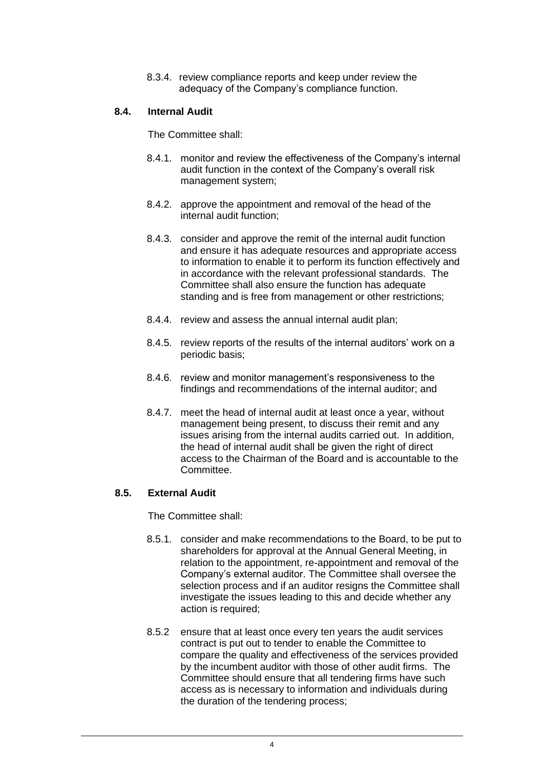8.3.4. review compliance reports and keep under review the adequacy of the Company's compliance function.

#### **8.4. Internal Audit**

The Committee shall:

- 8.4.1. monitor and review the effectiveness of the Company's internal audit function in the context of the Company's overall risk management system;
- 8.4.2. approve the appointment and removal of the head of the internal audit function;
- 8.4.3. consider and approve the remit of the internal audit function and ensure it has adequate resources and appropriate access to information to enable it to perform its function effectively and in accordance with the relevant professional standards. The Committee shall also ensure the function has adequate standing and is free from management or other restrictions;
- 8.4.4. review and assess the annual internal audit plan;
- 8.4.5. review reports of the results of the internal auditors' work on a periodic basis;
- 8.4.6. review and monitor management's responsiveness to the findings and recommendations of the internal auditor; and
- 8.4.7. meet the head of internal audit at least once a year, without management being present, to discuss their remit and any issues arising from the internal audits carried out. In addition, the head of internal audit shall be given the right of direct access to the Chairman of the Board and is accountable to the Committee.

#### **8.5. External Audit**

The Committee shall:

- 8.5.1. consider and make recommendations to the Board, to be put to shareholders for approval at the Annual General Meeting, in relation to the appointment, re-appointment and removal of the Company's external auditor. The Committee shall oversee the selection process and if an auditor resigns the Committee shall investigate the issues leading to this and decide whether any action is required;
- 8.5.2 ensure that at least once every ten years the audit services contract is put out to tender to enable the Committee to compare the quality and effectiveness of the services provided by the incumbent auditor with those of other audit firms. The Committee should ensure that all tendering firms have such access as is necessary to information and individuals during the duration of the tendering process;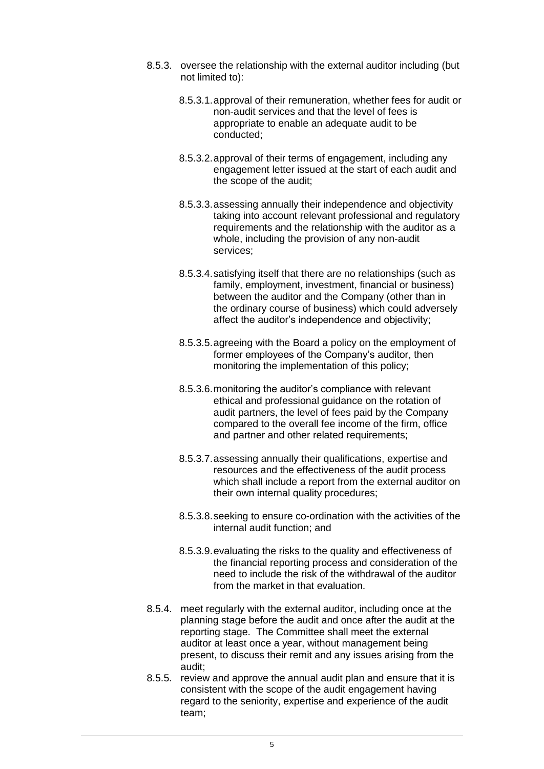- 8.5.3. oversee the relationship with the external auditor including (but not limited to):
	- 8.5.3.1.approval of their remuneration, whether fees for audit or non-audit services and that the level of fees is appropriate to enable an adequate audit to be conducted;
	- 8.5.3.2.approval of their terms of engagement, including any engagement letter issued at the start of each audit and the scope of the audit;
	- 8.5.3.3.assessing annually their independence and objectivity taking into account relevant professional and regulatory requirements and the relationship with the auditor as a whole, including the provision of any non-audit services;
	- 8.5.3.4.satisfying itself that there are no relationships (such as family, employment, investment, financial or business) between the auditor and the Company (other than in the ordinary course of business) which could adversely affect the auditor's independence and objectivity;
	- 8.5.3.5.agreeing with the Board a policy on the employment of former employees of the Company's auditor, then monitoring the implementation of this policy;
	- 8.5.3.6.monitoring the auditor's compliance with relevant ethical and professional guidance on the rotation of audit partners, the level of fees paid by the Company compared to the overall fee income of the firm, office and partner and other related requirements;
	- 8.5.3.7.assessing annually their qualifications, expertise and resources and the effectiveness of the audit process which shall include a report from the external auditor on their own internal quality procedures;
	- 8.5.3.8.seeking to ensure co-ordination with the activities of the internal audit function; and
	- 8.5.3.9.evaluating the risks to the quality and effectiveness of the financial reporting process and consideration of the need to include the risk of the withdrawal of the auditor from the market in that evaluation.
- 8.5.4. meet regularly with the external auditor, including once at the planning stage before the audit and once after the audit at the reporting stage. The Committee shall meet the external auditor at least once a year, without management being present, to discuss their remit and any issues arising from the audit;
- 8.5.5. review and approve the annual audit plan and ensure that it is consistent with the scope of the audit engagement having regard to the seniority, expertise and experience of the audit team;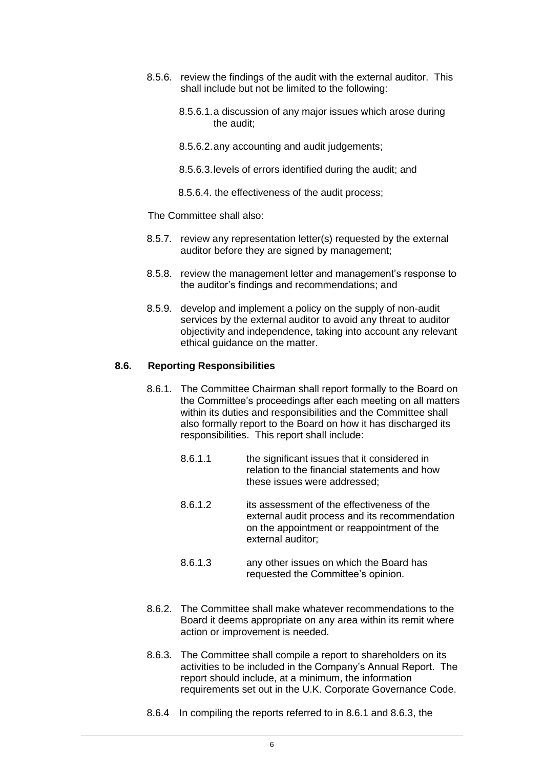- 8.5.6. review the findings of the audit with the external auditor. This shall include but not be limited to the following:
	- 8.5.6.1.a discussion of any major issues which arose during the audit;
	- 8.5.6.2.any accounting and audit judgements;
	- 8.5.6.3.levels of errors identified during the audit; and
	- 8.5.6.4. the effectiveness of the audit process;

The Committee shall also:

- 8.5.7. review any representation letter(s) requested by the external auditor before they are signed by management;
- 8.5.8. review the management letter and management's response to the auditor's findings and recommendations; and
- 8.5.9. develop and implement a policy on the supply of non-audit services by the external auditor to avoid any threat to auditor objectivity and independence, taking into account any relevant ethical guidance on the matter.

#### **8.6. Reporting Responsibilities**

- 8.6.1. The Committee Chairman shall report formally to the Board on the Committee's proceedings after each meeting on all matters within its duties and responsibilities and the Committee shall also formally report to the Board on how it has discharged its responsibilities. This report shall include:
	- 8.6.1.1 the significant issues that it considered in relation to the financial statements and how these issues were addressed;
	- 8.6.1.2 its assessment of the effectiveness of the external audit process and its recommendation on the appointment or reappointment of the external auditor;
	- 8.6.1.3 any other issues on which the Board has requested the Committee's opinion.
- 8.6.2. The Committee shall make whatever recommendations to the Board it deems appropriate on any area within its remit where action or improvement is needed.
- 8.6.3. The Committee shall compile a report to shareholders on its activities to be included in the Company's Annual Report. The report should include, at a minimum, the information requirements set out in the U.K. Corporate Governance Code.
- 8.6.4 In compiling the reports referred to in 8.6.1 and 8.6.3, the